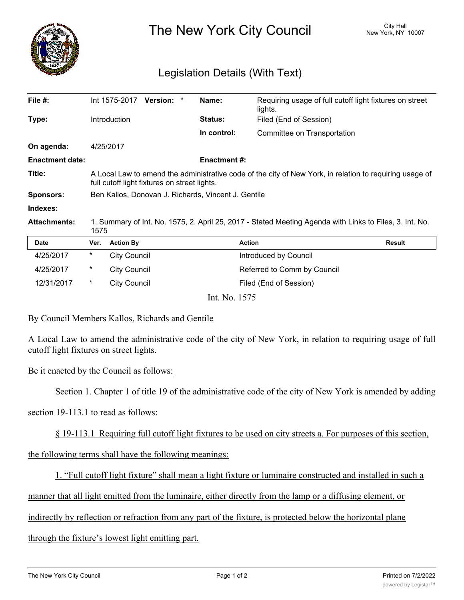

The New York City Council New York, NY 10007

## Legislation Details (With Text)

| File $#$ :             |                                                                                                                                                         | Int 1575-2017       | <b>Version:</b> |  | Name:               | Requiring usage of full cutoff light fixtures on street<br>lights. |               |
|------------------------|---------------------------------------------------------------------------------------------------------------------------------------------------------|---------------------|-----------------|--|---------------------|--------------------------------------------------------------------|---------------|
| Type:                  |                                                                                                                                                         | <b>Introduction</b> |                 |  | <b>Status:</b>      | Filed (End of Session)                                             |               |
|                        |                                                                                                                                                         |                     |                 |  | In control:         | Committee on Transportation                                        |               |
| On agenda:             |                                                                                                                                                         | 4/25/2017           |                 |  |                     |                                                                    |               |
| <b>Enactment date:</b> |                                                                                                                                                         |                     |                 |  | <b>Enactment #:</b> |                                                                    |               |
| Title:                 | A Local Law to amend the administrative code of the city of New York, in relation to requiring usage of<br>full cutoff light fixtures on street lights. |                     |                 |  |                     |                                                                    |               |
| <b>Sponsors:</b>       | Ben Kallos, Donovan J. Richards, Vincent J. Gentile                                                                                                     |                     |                 |  |                     |                                                                    |               |
| Indexes:               |                                                                                                                                                         |                     |                 |  |                     |                                                                    |               |
| <b>Attachments:</b>    | 1. Summary of Int. No. 1575, 2. April 25, 2017 - Stated Meeting Agenda with Links to Files, 3. Int. No.<br>1575                                         |                     |                 |  |                     |                                                                    |               |
| <b>Date</b>            | Ver.                                                                                                                                                    | <b>Action By</b>    |                 |  | <b>Action</b>       |                                                                    | <b>Result</b> |
| 4/25/2017              | *                                                                                                                                                       | <b>City Council</b> |                 |  |                     | Introduced by Council                                              |               |

| 12/31/2017 |  | City Council |                 | Filed (End of Session) |  |
|------------|--|--------------|-----------------|------------------------|--|
|            |  |              | Int. No. $1575$ |                        |  |

4/25/2017 \* City Council Referred to Comm by Council

By Council Members Kallos, Richards and Gentile

A Local Law to amend the administrative code of the city of New York, in relation to requiring usage of full cutoff light fixtures on street lights.

## Be it enacted by the Council as follows:

Section 1. Chapter 1 of title 19 of the administrative code of the city of New York is amended by adding

section 19-113.1 to read as follows:

§ 19-113.1 Requiring full cutoff light fixtures to be used on city streets a. For purposes of this section,

the following terms shall have the following meanings:

1. "Full cutoff light fixture" shall mean a light fixture or luminaire constructed and installed in such a

manner that all light emitted from the luminaire, either directly from the lamp or a diffusing element, or

indirectly by reflection or refraction from any part of the fixture, is protected below the horizontal plane

through the fixture's lowest light emitting part.